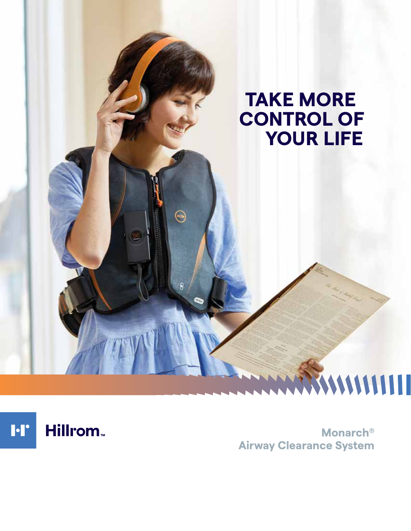# **TAKE MORE CONTROL OF YOUR LIFE**

 $\odot$ 

Hillrom<sub>w</sub>  $\blacksquare$ 

**Monarch® Airway Clearance System**

WWWWIII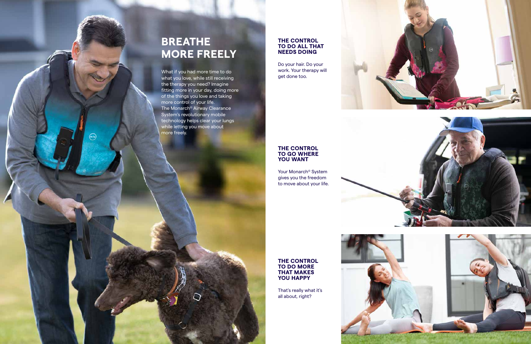# **BREATHE MORE FREELY**

What if you had more time to do what you love, while still receiving the therapy you need? Imagine fitting more in your day, doing more of the things you love and taking more control of your life. The Monarch® Airway Clearance System's revolutionary mobile technology helps clear your lungs while letting you move about more freely.

 $\Omega$ 

 $\odot$ 

## **THE CONTROL TO DO MORE THAT MAKES**

**YOU HAPPY**





That's really what it's all about, right?

### **THE CONTROL TO GO WHERE YOU WANT**

Your Monarch® System gives you the freedom to move about your life.





### **THE CONTROL TO DO ALL THAT NEEDS DOING**

Do your hair. Do your work. Your therapy will get done too.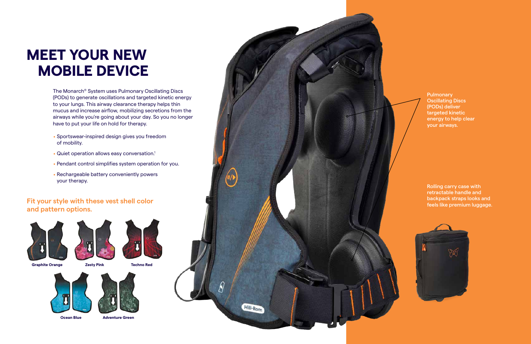The Monarch® System uses Pulmonary Oscillating Discs (PODs) to generate oscillations and targeted kinetic energy to your lungs. This airway clearance therapy helps thin mucus and increase airflow, mobilizing secretions from the airways while you're going about your day. So you no longer have to put your life on hold for therapy.

**Pulmonary** Oscillating Discs (PODs) deliver targeted kinetic energy to help clear your airways.

# **MEET YOUR NEW MOBILE DEVICE**

### **Fit your style with these vest shell color and pattern options.**





Rolling carry case with retractable handle and backpack straps looks and feels like premium luggage.



**Graphite Orange Zesty Pink Techno Red**











- . Sportswear-inspired design gives you freedom of mobility.
- . Quiet operation allows easy conversation.1
- . Pendant control simplifies system operation for you.
- . Rechargeable battery conveniently powers your therapy.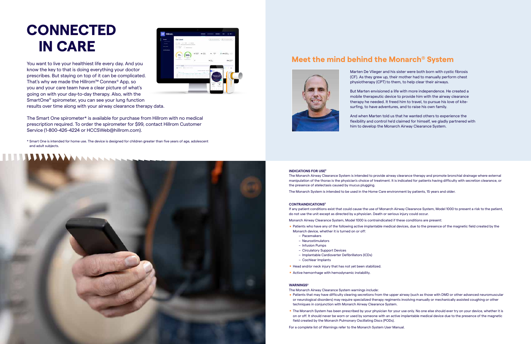#### **INDICATIONS FOR USE2**

The Monarch Airway Clearance System is intended to provide airway clearance therapy and promote bronchial drainage where external manipulation of the thorax is the physician's choice of treatment. It is indicated for patients having difficulty with secretion clearance, or the presence of atelectasis caused by mucus plugging.

The Monarch System is intended to be used in the Home Care environment by patients, 15 years and older.

#### **CONTRAINDICATIONS2**

- Monarch device, whether it is turned on or off: – Pacemakers
	-
	- Neurostimulators – Infusion Pumps
	-
	- Circulatory Support Devices – Implantable Cardioverter Defibrillators (ICDs)
	- Cochlear Implants
- Cochlear Implants<br>• Head and/or neck injury that has not yet been stabilized. Head and/or neck injury that has not yet been sta<br>Active hemorrhage with hemodynamic instability.
- 

If any patient conditions exist that could cause the use of Monarch Airway Clearance System, Model 1000 to present a risk to the patient, do not use the unit except as directed by a physician. Death or serious injury could occur. Monarch Airway Clearance System, Model 1000 is contraindicated if these conditions are present:

**Patients who have any of the following active implantable medical devices, due to the presence of the magnetic field created by the** 

**P** Patients that may have difficulty clearing secretions from the upper airway (such as those with DMD or other advanced neuromuscular or neurological disorders) may require specialized therapy regiments involving manually or mechanically assisted coughing or other

■ The Monarch System has been prescribed by your physician for your use only. No one else should ever try on your device, whether it is on or off. It should never be worn or used by someone with an active implantable medical device due to the presence of the magnetic

#### **WARNINGS2**

The Monarch Airway Clearance System warnings include:

- techniques in conjunction with Monarch Airway Clearance System.
- field created by the Monarch Pulmonary Oscillating Discs (PODs).

For a complete list of Warnings refer to the Monarch System User Manual.

## **Meet the mind behind the Monarch® System**



# **CONNECTED IN CARE**

Marten De Vlieger and his sister were both born with cystic fibrosis (CF). As they grew up, their mother had to manually perform chest physiotherapy (CPT) to them, to help clear their airways.

But Marten envisioned a life with more independence. He created a mobile therapeutic device to provide him with the airway clearance therapy he needed. It freed him to travel, to pursue his love of kitesurfing, to have adventures, and to raise his own family.

And when Marten told us that he wanted others to experience the flexibility and control he'd claimed for himself, we gladly partnered with him to develop the Monarch Airway Clearance System.

You want to live your healthiest life every day. And you know the key to that is doing everything your doctor prescribes. But staying on top of it can be complicated. That's why we made the Hillrom™ Connex® App, so you and your care team have a clear picture of what's going on with your day-to-day therapy. Also, with the SmartOne® spirometer, you can see your lung function results over time along with your airway clearance therapy data.

The Smart One spirometer\* is available for purchase from Hillrom with no medical prescription required. To order the spirometer for \$99, contact Hillrom Customer Service (1-800-426-4224 or HCCSWeb@hillrom.com).

\* Smart One is intended for home use. The device is designed for children greater than five years of age, adolescent and adult subjects.